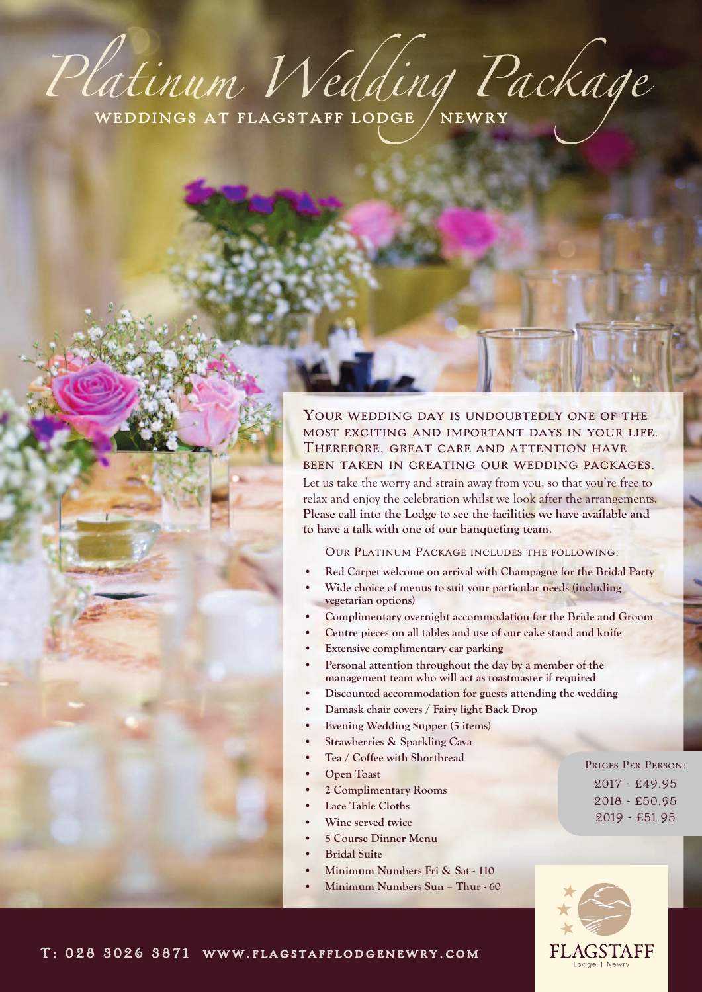# Platinum Wedding Package

YOUR WEDDING DAY IS UNDOUBTEDLY ONE OF THE most exciting and important days in your life. Therefore, great care and attention have been taken in creating our wedding packages.

Let us take the worry and strain away from you, so that you're free to relax and enjoy the celebration whilst we look after the arrangements. **Please call into the Lodge to see the facilities we have available and to have a talk with one of our banqueting team.**

Our Platinum Package includes the following:

- **• Red Carpet welcome on arrival with Champagne for the Bridal Party**
- **• Wide choice of menus to suit your particular needs (including vegetarian options)**
- **• Complimentary overnight accommodation for the Bride and Groom**
- **• Centre pieces on all tables and use of our cake stand and knife**
- **• Extensive complimentary car parking**
- **• Personal attention throughout the day by a member of the management team who will act as toastmaster if required**
- **• Discounted accommodation for guests attending the wedding**
- **• Damask chair covers / Fairy light Back Drop**
- **• Evening Wedding Supper (5 items)**
- **• Strawberries & Sparkling Cava**
- **• Tea / Coffee with Shortbread**
- **• Open Toast**
- **• 2 Complimentary Rooms**
- **• Lace Table Cloths**
- **• Wine served twice**
- **• 5 Course Dinner Menu**
- **• Bridal Suite**
- **• Minimum Numbers Fri & Sat - 110**
- **• Minimum Numbers Sun – Thur - 60**

PRICES PER PERSON: 2017 - £49.95 2018 - £50.95 2019 - £51.95